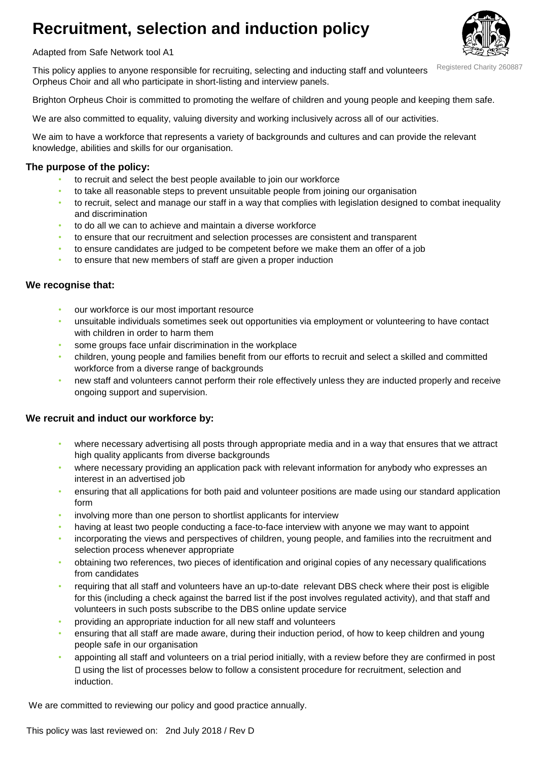# **Recruitment, selection and induction policy**



Adapted from Safe Network tool A1

This policy applies to anyone responsible for recruiting, selecting and inducting staff and volunteers Orpheus Choir and all who participate in short-listing and interview panels. Registered Charity 260887

Brighton Orpheus Choir is committed to promoting the welfare of children and young people and keeping them safe.

We are also committed to equality, valuing diversity and working inclusively across all of our activities.

We aim to have a workforce that represents a variety of backgrounds and cultures and can provide the relevant knowledge, abilities and skills for our organisation.

### **The purpose of the policy:**

- to recruit and select the best people available to join our workforce
- to take all reasonable steps to prevent unsuitable people from joining our organisation
- to recruit, select and manage our staff in a way that complies with legislation designed to combat inequality and discrimination
- to do all we can to achieve and maintain a diverse workforce
- to ensure that our recruitment and selection processes are consistent and transparent
- to ensure candidates are judged to be competent before we make them an offer of a job
- to ensure that new members of staff are given a proper induction

#### **We recognise that:**

- our workforce is our most important resource
- unsuitable individuals sometimes seek out opportunities via employment or volunteering to have contact with children in order to harm them
- some groups face unfair discrimination in the workplace
- children, young people and families benefit from our efforts to recruit and select a skilled and committed workforce from a diverse range of backgrounds
- new staff and volunteers cannot perform their role effectively unless they are inducted properly and receive ongoing support and supervision.

#### **We recruit and induct our workforce by:**

- where necessary advertising all posts through appropriate media and in a way that ensures that we attract high quality applicants from diverse backgrounds
- where necessary providing an application pack with relevant information for anybody who expresses an interest in an advertised job
- ensuring that all applications for both paid and volunteer positions are made using our standard application form
- involving more than one person to shortlist applicants for interview
- having at least two people conducting a face-to-face interview with anyone we may want to appoint
- incorporating the views and perspectives of children, young people, and families into the recruitment and selection process whenever appropriate
- obtaining two references, two pieces of identification and original copies of any necessary qualifications from candidates
- requiring that all staff and volunteers have an up-to-date relevant DBS check where their post is eligible for this (including a check against the barred list if the post involves regulated activity), and that staff and volunteers in such posts subscribe to the DBS online update service
- providing an appropriate induction for all new staff and volunteers
- ensuring that all staff are made aware, during their induction period, of how to keep children and young people safe in our organisation
- appointing all staff and volunteers on a trial period initially, with a review before they are confirmed in post using the list of processes below to follow a consistent procedure for recruitment, selection and induction.

We are committed to reviewing our policy and good practice annually.

This policy was last reviewed on: 2nd July 2018 / Rev D